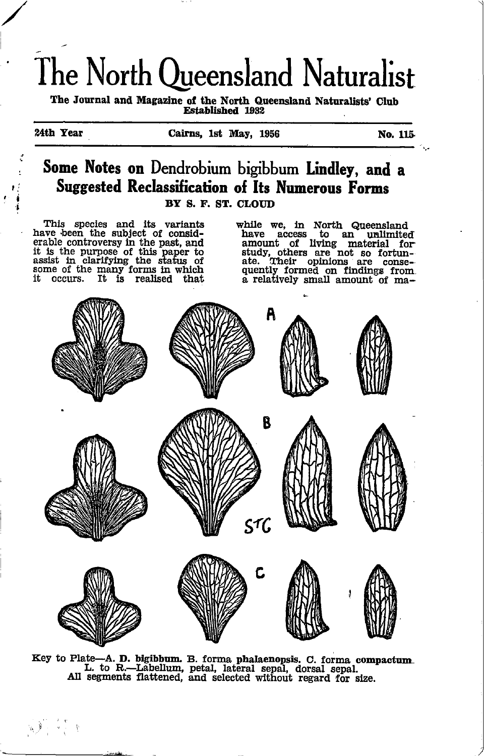# The North Queensland Naturalist

The Journal and Magazine of the North Queensland Naturalists' Club **Established 1932** 

24th Year

 $\sqrt{1-\frac{1}{2}}$ 

```
No. 115.
```
#### Some Notes on Dendrobium bigibbum Lindley, and a Suggested Reclassification of Its Numerous Forms BY S. F. ST. CLOID

This species and its variants<br>have been the subject of considexplie controversy in the past, and<br>it is the purpose of this paper to<br>assist in clarifying the status of<br>some of the many forms in which<br>it occurs. It is realised that

while we, in North Queensland have access to an unlimited<br>amount of living material for<br>study, others are not so fortunate. Their opinions are consequently formed on findings from<br>a relatively small amount of ma-



Key to Plate-A. D. bigibbum. B. forma phalaenopsis. C. forma compactum. L. to R.-Labellum, petal, lateral sepal, dorsal sepal.<br>All segments flattened, and selected without regard for size.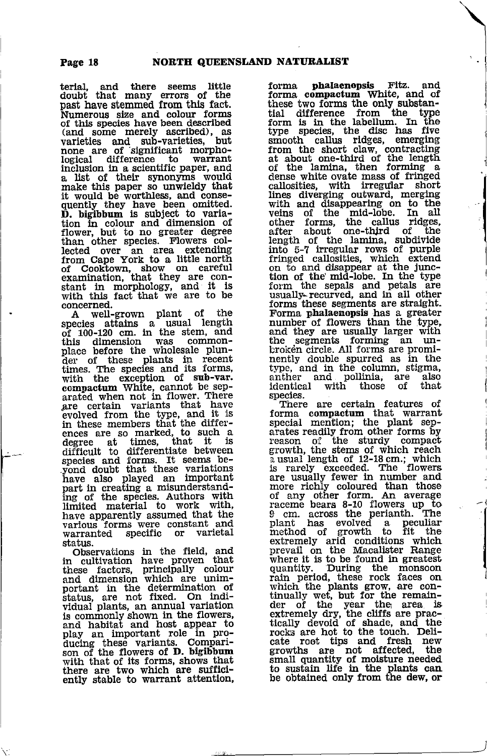terial, and there seems little doubt that many errors of the past have stemmed from this fact. Numerous size and colour forms<br>of this species have been described of this species have been described), as<br>
varieties and sub-varieties, but varieties and sub-varieties, but<br>none are of significant morpho-<br>logical difference to warrant logical difference to warrant<br>inclusion in a scientific paper, and a list of their synonyms would make this paper so unwieldy that<br>it would be worthless, and conse-<br>quently they have been omitted.<br>**D.** bigibbum is subject to varia-Demonsity is subject to variate the chain of flower, but to no greater degree<br>than other species. Flowers collected over an area extending<br>lected over an area extending<br>from Cape York to a little north<br>of Cooktown, show on

 $\begin{array}{c} \text{concerned.} \ \text{A} \quad \text{well-grown} \quad \text{plant} \quad \text{of} \quad \text{the} \end{array}$ species attains a usual length<br>of 100-120 cm. in the stem, and<br>this dimension was commonplace before the wholesale plunder of these plants in recent<br>der of these plants in recent<br>with the exception of sub-var.<br>compactum White, cannot be sep-<br>arated when not in flower. There exists that have<br>gre certain varian in these members that the differ-<br>ences are so marked, to such a degree at times, that it is<br>difficult to differentiate between<br>species and forms. It seems be-<br>yond doubt that these variations<br>have also played an important various forms were constant and<br>warranted specific or varietal status.

r\*I

status.<br>
Observations in the field, and<br>
in cultivation have proven that<br>
these factors, principally colour<br>
and dimension which are unim-<br>
portant in the determination of Status. are not fixed. On indi-vidual plank, an annual variation is commonly shown in the flowers,<br>and habitat and host appear to<br>play an important role in pro-<br>ducing these variants. Compari-<br>son of the flowers of D. bigibbum with that of its forms, shows that there are two which are sufficl-ently stable to warrant attentlon,

forma **phalaenopsis** Fitz. and<br>forma compactum White, and of these two forms the only substantial difference from the type form is in the labellum. In the form as the disc has five species, the disc has five species, the disc has five smooth callus ridges, emerging from the short claw, contracting at about one-third of the length of the sense white ovate mass of fringed call Ilnes diverging outward, merging with and disappearing on to the weins of the mid-lobe. In all<br>other forms, the callus ridges,<br>after about one-third of the length of the lamina, subdivide int6 5-? irregular rowi of purple frinsed callosities. which extend on to and disappear at the junc-<br>tion of the mid-lobe. In the type<br>form the sepals and petals are<br>usually-recurved, and in all other forms these segments are straight. Forma phalaenopsis has a greater<br>number of flowers than the type,<br>and they are usually larger with<br>the segments forming an unthe segments forming an un-<br>broken circle. All forms are prominently double spurred as in the<br>type, and in the column, stigma,<br>anther and pollinia, are also<br>identical with those of that<br>species.

There are certain features of forma compactum that warrant special mention; the plant separates readily from other forms by<br>reason of the sturdy compact<br>growth, the stems of which reach<br>a usual length of 12-18 cm.; which<br>is rarely exceeded. The flowers<br>are usually fewer in number and<br>more richly coloured than raceme bears 8-10 flowers up to Icm. across the perianth. The plant has evolved a peculiar method of growth to fit the extremely arid conditions which<br>prevail on the Macalister Flange where it is to be found in greatest quantity. During the monsoon rain period, these rock faces on which the plants grow, are con-<br>tinually wet, but for the remain-<br>der of the year the area is<br>extremely dry, the cuffs are prac-<br>tically devoid of shade, and the<br>rocks are hot to the touch. Delirocks are not tips and fresh new<br>growths are not affected, the<br>small quantity of moisture needed<br>to sustain life in the plants can be obtained only from the dew, or

I

I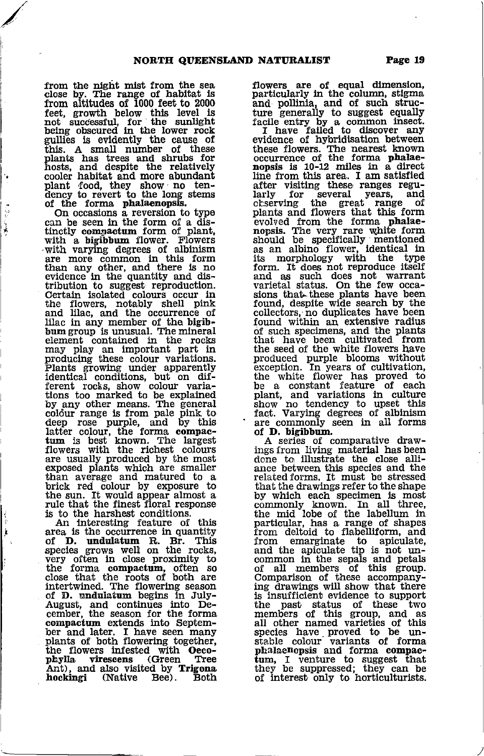from the night mist from the sea<br>close by. The range of habitat is<br>from altitudes of 1000 feet to 2000 feet, growth below this level is<br>not- successful, for the sunlight<br>being obscured in the lower rock gullies is evidently the cause of this. A small number of these plants has trees and shrubs for hosts, and despite the relatively cooler habitat and more abundant plant 'food, they show no tendency to revert to the long stems of the forma phalaenopsis. of the forma phalaenopsis.<br>On occasions a reversion to type

à Ì

can be seen in the form of a distinctly compactum form of plant, with a bigibbum flower. Flowers with varying degrees of albinism where more common in this form<br>than any other, and there is no<br>evidence in the quantity and distribution to suggest reproduction.<br>Certain isolated colours occur in Certain isolated colours occur in<br>the flowers, notably shell pink<br>and lilac, and the occurrence of<br>bum group is unusual. The mineral<br>element contained in the rocks may play an important part in<br>producing these colour variations. Plants growing under apparently<br>identical conditions, but on different rocks, show colour variations too marked to be explained<br>by any other means. The general<br>coldur range is from pale pink to<br>deep rose purple, and by this<br>latter colour, the forma compac-<br>tum is best known. The largest flowers with the richest colours are usually produced by the most exposed plants which are smaller than average and matured to a<br>brick red colour by exposure to the sun. ft would appear almost <sup>a</sup> rule that the finest floral response

An interesting feature of this area is the occurrence in quantity area is the occurrence in quantity<br>of **D.** undulatum R. Br. This<br>species grows well on the rocks,<br>very often in close proximity to<br>the forma compactum, often so<br>close that the roots of both are intertwined. The flowering season of D. undulaturn begins ln July-August, and continues into De-cember, the season for the forma compactum extends into September and later. I have seen many plants of both flowering together, the flowers infested with Oeco-<br>phylla virescens (Green Tree Ant), and also visited by Trigona<br>hockingi (Native Bee). Both flowers are of equal dimension, particularly in the column, stigma and pollinia, and of such structure generally to suggest equally<br>facile entry by a common insect.<br>I have failed to discover any<br>evidence of hybridisation between these flowers. The nearest known<br>occurrence of the forma phalaenopsis is 10-12 miles in a direct<br>line from this area. I am satisfied after visiting these ranges regu-<br>larly for several years, and<br>ocserving the great range of plants and flowers that this form<br>evolved from the forma phalae-<br>nopsis. The very rare white form<br>should be specifically mentioned

as an albino flower, identical in<br>its morphology with the type form. It does not reproduce itself and as such does not warrant' varietal status. On the few occa-sions that t'hese plants have been found, despite wide search by the collectors, no duplicates have been found within an extensive radlus of such specimens, and the plants<br>that have been cultivated from<br>the seed of the white flowers have produced purple blooms without<br>exception. In years of cultivation,<br>the white flower has proved to exception. In years of cultivation, the white flower has proved to be a constant feature of each plant, and variations in culture show no tendency to upset this fact. Varying degrees of albinism ' are commonly seen in all forms

of **D. bigibbum.**<br>A series of comparative draw-A series of comparative draw-<br>ings from living material has been done to illustrate the close alli-<br>ance between this species and the<br>related forms. It must be stressed that the drawings refer to the shape<br>by which each specimen is most<br>commonly known. In all three, the mid lobe of the labellum in particular, has a range of shapes paradional, has a range of since<br>from deltoid to flabelliform, and<br>from emarginate to apiculate,<br>and the apiculate tip is not un-<br>common in the sepals and petals<br>Comparison of these accompanying drawings will show that there<br>is insufficient evidence to support<br>the past status of these two members of this group, and as all other named varieties of this species have proved to be un-<br>stable colour variants of forma<br>phalaenopsis and forma compac-<br>tum, I venture to suggest that they be suppressed; they can be of interest only to horticulturists.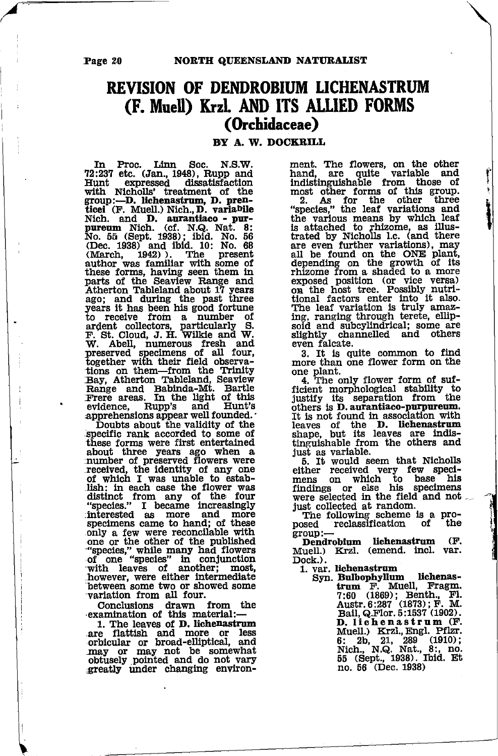Page 20

#### NORTH QUEENSLAND NATURALIST

## **REVISION OF DENDROBIUM LICHENASTRUM** (F. Muell) Krzl. AND ITS ALLIED FORMS (Orchidaceae)

BY A. W. DOCKRILL

Linn N.S.W. In Proc. Soc. 72:237 etc. (Jan., 1948), Rupp and<br>Hunt expressed dissatisfaction Hunt expressed dissatisfaction<br>with Nicholls' treatment of the group:--D. lichenastrum, D. pren-<br>ticei (F. Muell.) Nich., D. variabile Nich. and D. aurantiaco - pur-<br>pureum Nich. (cf. N.Q. Nat. 8:<br>No. 55 (Sept. 1938); ibid. No. 56<br>(Dec. 1938) and ibid. 10: No. 68<br>March. March. Dec. 1530 and multi-to-<br>author was familiar with some of<br>author was familiar with some of<br>these forms, having seen them in<br>parts of the Seaview Range and parts of the Seaview Range and<br>Atherton Tableland about 17 years<br>ago; and during the past three<br>years it has been his good fortune<br>to receive from a number of<br>argent collectors, particularly S.<br>F. St. Cloud, J. H. Wilkie a together with their field observa-<br>Hong Day, Atherton Tableland, Seaview<br>Range and Babinda-Mt. Bartle<br>Frere areas. In the light of this<br>evidence, Rupp's and Hunt's

evidence, range against and ranged appreciations appear well founded.<br>Doubts about the validity of the<br>specific rank accorded to some of<br>these forms were first entertained about three years ago when a number of preserved flowers were number or preserved rivewers were<br>received, the identity of any one<br>of which I was unable to estab-<br>lish: in each case the flower was<br>distinct from any of the four<br>"species." I became increasingly<br>interested as more and mo only a few were reconcilable with "one or the other of the published<br>"species," while many had flowers<br>of one "species" in conjunction<br>with leaves of another; most,<br>however, were either intermediate between some two or showed some<br>variation from all four.

Conclusions drawn from the<br>examination of this material:-

1. The leaves of D. lichenastrum ... He caves of **D.** Interastrum<br>are flattish and more or less<br>orbicular or broad-elliptical, and<br>may or may not be somewhat<br>obtusely pointed and do not vary<br>greatly under changing environment. The flowers, on the other<br>hand, are quite variable and indistinguishable from those of indistinguishable from those of most other forms of this group.<br>2. As for the other three<br>"species," the leaf variations and<br>the various means by which leaf<br>is attached to rhizome, as illus-<br>trated by Nicholls I.c. (and th rinzone from a snaed to a more<br>capacitor of the versa)<br>on the host tree. Possibly nutri-<br>tional factors enter into it also.<br>The leaf variation is truly amaz-<br>ing, ranging through terete, ellip-<br>soid and subordinated; some slightly channelled and others even falcate.

3. It is quite common to find<br>more than one flower form on the

one plant.<br>4. The only flower form of sufficient morphological stability to<br>justify its separation from the<br>others is **D.** aurantiaco-purpureum. It is not found in association with leaves of the D. lichenastrum<br>shape, but its leaves are indis-<br>tinguishable from the others and just as variable.

due as variable.<br>
E. It would seem that Nicholls<br>
either received very few speci-<br>
mens on which to base his<br>
findings or else his specimens<br>
were selected in the field and not just collected at random.

The following scheme is a pro-<br>bsed reclassification of the the posed group:

Dendrobium lichenastrum - (F. Muell.) Krzl. (emend. incl. var. Dock.).

1. var. lichenastrum

lichenas-Syn. Bulbophyllum Lunowy num E. Muell, Fragm.<br>T.60 (1869); Benth., Fl.<br>Austr. 6:287 (1873); F. M.<br>Bail, Q.Flor. 5:1537 (1902). Ban, & riot. 0.1353<br> **D.** 11ch e n a s t r um (F.<br>
Muell.) Krzl., Engl. Pflzr.<br>
6: 2b, 21, 289 (1910);<br>
Nich., N.Q. Nat., 8:, no.<br>
55 (Sept., 1938). Ibid. Et no. 56 (Dec. 1938)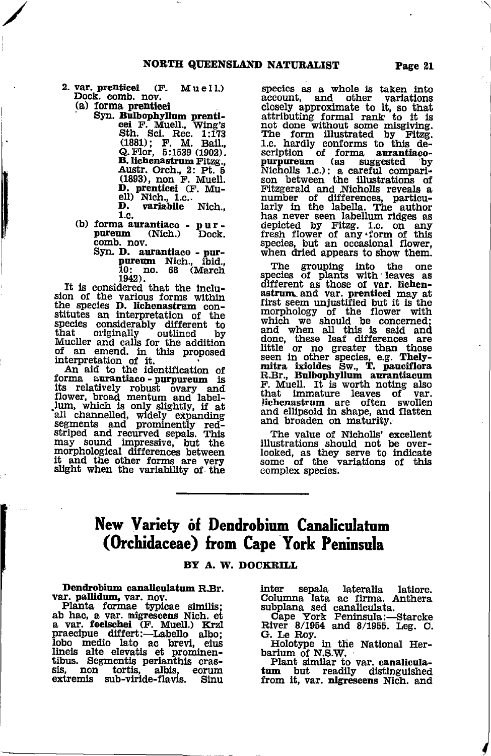- 2. var. prenticei  $(F.$  Muell.) Dock. comb. nov.
	- (a) forma prenticei

Syn. Bulbophyllum prenticei F. Muell, Wing's<br>Sth. Sci. Rec. 1:173<br>(1881); F. M. Bail.,<br>Q. Flor, 5:1539 (1902). B. lichenastrum Fitzg., Austr. Orch., 2: Pt. 5<br>(1893), non F. Muell. D. prenticei (F. Mu-<br>D. prenticei (F. Mu-<br>ell) Nich., 1.c..<br>D. variabile Nich., 1.c.

- (b) forma aurantiaco pur-(Nich.) pureum Dock.
	- comb. nov.<br>Syn. D. autantiaco pur-<br>pureum Nich., ibid.,<br>10: no. 68 (March

1942).<br>It is considered that the inclusion of the various forms within<br>the species **D.** lichenastrum constitutes an interpretation of the species considerably different to that. originally outlined bv Mueller and calls for the addition<br>of an emend. in this proposed interpretation of it.<br>An aid to the identification of

forma aurantiaco-purpureum is its relatively robust ovary and<br>flower, broad mentum and labellum, which is only slightly, if at lum, which is only sugnity, it at all channelled, widely expanding<br>segments and prominently red-<br>striped and recurved sepals. This<br>may sound impressive, but the<br>morphological differences between it and the other forms are very slight when the variability of the

species as a whole is taken into account, and other variations closely approximate to it, so that<br>attributing formal rank to it is<br>not done without some missiving.<br>The form illustrated by Fitzg.<br>1.c. hardly conforms to this description of forma aurantiaco-<br>purpureum (as suggested by Nicholls 1.c.): a careful compari-<br>son between the illustrations of Fitzgerald and Nicholls reveals a Fitzgerald and Auchlons reveals of<br>hirly in the labella. The author<br>has never seen labellum ridges as<br>depicted by Fitzg. 1.c. on any<br>fresh flower of any from of this<br>first flower species, but an occasional flower, when dried appears to show them.

The grouping into the one<br>species of plants with leaves as different as those of var. lichenextrame as such as the prentice may at<br>first seem unjustified but it is the<br>morphology of the flower with which we should be concerned; which we should be concerned;<br>and when all this is said and<br>done, these leaf differences are<br>little or no greater than those<br>seen in other species, e.g. Thely-<br>mitra ixioides Sw., T. pauciflora<br>R.Br., Bulbophyllum aurantia F. Muell. It is worth noting also that immature leaves of var.<br>lichenastrum are often swollen<br>and ellipsoid in shape, and flatten and broaden on maturity.

The value of Nicholls' excellent<br>illustrations should not be over-<br>looked, as they serve to indicate<br>some of the variations of this complex species.

### New Variety of Dendrobium Canaliculatum (Orchidaceae) from Cape York Peninsula

#### BY A. W. DOCKRILL

Dendrobium canaliculatum R.Br.

Dentronum canadianum R.Br.<br>
var. pallidum, var. nov.<br>
Planta formae typicae similis;<br>
ab hac, a var. migrescens Nich. et<br>
a var. foelschei (F. Muell.) Krzl<br>
praecipue differt:—Labello albo;<br>
lobo medio lato ac brevi, eius<br> tibus. Segmentis perianthis crassis, non tortis, albis, e<br>extremis sub-viride-flavis. eorum Sinu

inter: sepala lateralia latiore. Columna lata ac firma. Anthera

subpliana sed canaliculata.<br>
Cape York Feninsula:—Starcke<br>
River 8/1954 and 8/1955. Leg. C.<br>
G. Le Roy.

Holotype in the National Herbarium of N.S.W.

Plant similar to var. canaliculatum but readily distinguished from it, var. nigrescens Nich. and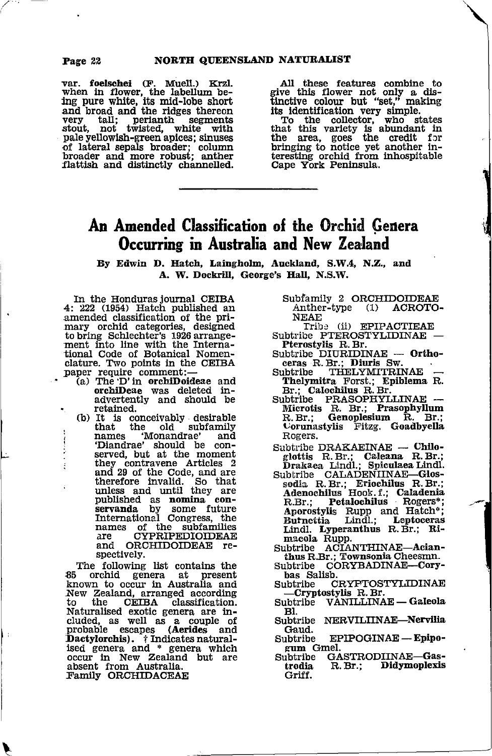ś

var. foelschei (F. Muell.) Krzl. valen in flower, the labellum be-<br>ing pure white, its mid-lobe short<br>and broad and the ridges thereon tall; perianth segments<br>not twisted, white with very stout. pale yellowish-green apices; sinuses of lateral sepals broader; column<br>broader and more robust; anther<br>flattish and distinctly channelled. All these features combine to<br>give this flower not only a dis-<br>tinctive colour but "set," making its identification very simple.<br>To the collector, who states

To the concern win state that this variety is abundant in<br>the area, goes the credit for<br>bringing to notice yet another in-<br>teresting orchid from inhospitable Cape York Peninsula.

## An Amended Classification of the Orchid Genera Occurring in Australia and New Zealand

By Edwin D. Hatch, Laingholm, Auckland, S.W.4, N.Z., and A. W. Dockrill. George's Hall. N.S.W.

In the Honduras journal CEIBA  $4:222$  (1954) Hatch published an amended classification of the pri-<br>mary orchid categories, designed<br>to bring Schlechter's 1926 arrangement into line with the Interna-<br>tional Code of Botanical Nomen-<br>clature. Two points in the CEIBA paper require comment:-<br>(a) The D' in orchiDoideae and

- orchiDeae was deleted inadvertently and should be retained.
- (b) It is conceivably desirable that the old subfamily 'Monandrae' names and "Diandrae" should be con-<br>served, but at the moment they contravene Articles 2<br>and 29 of the Code, and are and 25 of the Code, and are<br>therefore invalid. So that<br>unless and until they are<br>published as nomina con-<br>servanda by some future<br>International Congress, the names of the subfamilies CYPRIPEDIOIDEAE are and ORCHIDOIDEAE respectively.

The following list contains the 85 orchid genera at present known to occur in Australia and New Zealand, arranged according **CEIBA** to the classification. Naturalised exotic genera are included, as well as a couple of<br>probable escapes (Aerides and<br>Dactylorchis). i Indicates naturalised genera and \* genera which occur in New Zealand but are absent from Australia.<br>Family ORCHIDACEAE

- Subfamily 2 ORCHIDOIDEAE Anther-type (1) ACROTO-**NEAE**
- Tribe (ii) EPIPACTIEAE Subtribe PTEROSTYLIDINAE -
- Pterostylis R. Br. - Ortho-
- Subtribe DIURIDINAE ---<br>ceras R. Br.; Diuris Sw. **Subtribe THELYMITRINAE**
- Thelymitra Forst.; Epiblema R. Br.; Calochilus R. Br.
- Subtribe PRASOPHYLLINAE Microtis R. Br.; Prasophyllum<br>R. Br.; Genoplesium R. Br.;<br>Corunastylis Fitzg. Goadbyella Rogers.
- Subtribe DRAKAEINAE Chilo-
- Sauch Draham Draham Unio-<br>
glottis R.Br.; Caleana R.Br.;<br>
Drakaea Lindl.; Spiculaea Lindl.<br>
Subtribe CALADENIINAE—Glossodia R.Br.; Eriochilus H.Dr.;<br>
Adenochilus Hook.f.; Caladenia<br>
Dok.f.; Caladenia Petalochilus Rogers\*;  $R.Br.$ Aporostylis Rupp and Hatch<sup>\*</sup>;<br>Burnettia Lindl.; Leptoceras Lindl. Lyperanthus R. Br.; Rimacola Rupp.
- Subtribe ACIANTHINAE-Acianthus R.Br.; Townsonia Cheesmn.
- CORYBADINAE-Cory-Subtribe bas Salisb.
- Subtribe CRYPTOSTYLIDINAE -Cryptostylis R.Br.
- **VANILLINAE Galeola** Subtribe  $B1.$
- Subtribe NERVILIINAE-Nervilia Gaud.
- Subtribe EPIPOGINAE - Epipogum Gmel.
- GASTRODIINAE-Gas-Subtribe trodia R. Br.; Didymoplexis Griff.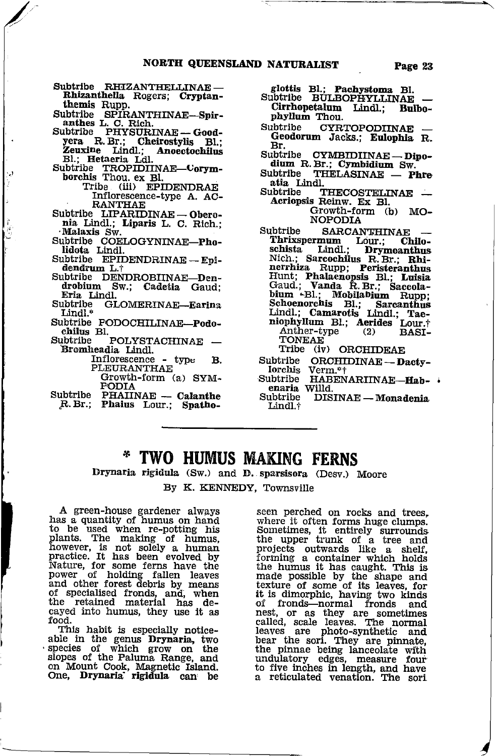Subtribe RHIZANTHELLINAE-Rhizanthella Rogers; Cryptanthemis Rupp.

Subtribe SPIRANTHINAE-Spiranthes L. C. Rich.<br>
anthes L. C. Rich.<br>
abtribe PHYSURINAE -- Good-

- Subtribe Nera R. Br.; Cheirostylis Bl.;<br>Zeuxine Lindl.; Anoectochilus<br>Bl.; Hetaeria Ldl.
- Subtribe TROPIDIINAE-Corymborchis Thou. ex Bl.

Tribe (iii) EPIDENDRAE Inflorescence-type A. AC-**RANTHAE** 

- Subtribe LIPARIDINAE-Oberonia Lindl.; Liparis L. C. Rich.; Malaxis Sw.
- Subtribe COELOGYNINAE-Pholidota Lindl.
- Subtribe EPIDENDRINAE-Epidendrum L.t
- Subtribe DENDROBIINAE-Den-<br>drobium Sw.; Cadetia Gaud; Eria Lindl.
- Subtribe GLOMERINAE-Earina Lindl.\*
- Subtribe PODOCHILINAE-Podo-<br>chilus Bl.
- POLYSTACHINAE -Subtribe Bromheadia Lindl.
	- Inflorescence type  $\mathbf{B}$ . PLEURANTHAE Growth-form (a) SYM-
	- **FODIA**
- Subtribe PHAIINAE -- Calanthe<br>R. Br.; Phaius Lour.; Spatho-

glottis Bl.; Pachystoma Bl.<br>Subtribe BULBOPHYLLINAE

- Cirrhopetalum Lindl.; Bulbophyllum Thou.
- Subtribe CYRTOPODIINAE -Geodorum Jacks.; Eulophia R. Br.
- Subtribe CYMBIDIINAE — Dipodium R. Br.; Cymbidium Sw.
- THELASINAE Phre Subtribe atia Lindl.
- Subtribe THECOSTELINAE -Acriopsis Reinw. Ex Bl. Growth-form (b) MO-**NOPODIA**
- Subtribe **SARCANTHINAE** Thrixspermum Lour.; Chilo-<br>schista Lindl.; Drymoanthus schista Lindl.; Drymoanthus<br>Nich.; Sarcochilus R.Br.; Rhinernhiza Rupp; Peristeranthus<br>Hunt; Phalaenopsis Bl.; Luisia<br>Gaud.; Vanda R.Br.; Saccolabium -Bl.; Mobilabium Rupp; Schoenorchis Bl.; Sarcanthus<br>Lindl.; Camarotis Lindl.; Tae-<br>niophyllum Bl.; Aerides Lour.; Anther-type  $(2)$ **BASI-TONEAE** 
	- Tribe (iv) ORCHIDEAE
- Subtribe ORCHIDINAE-Dactylorchis Verm.<sup>\*</sup>†
- Subtribe HABENARIINAE-Hab-
- Subtribe DISINAE - Monadenia Lindl.j

#### \* TWO HUMUS MAKING FERNS

Drynaria rigidula (Sw.) and D. sparsisora (Desv.) Moore

By K. KENNEDY, Townsville

A green-house gardener always<br>has a quantity of humus on hand<br>to be used when re-potting his<br>plants. The making of humus,<br>however, is not solely a human<br>practice. It has been evolved by<br>practice. It has been evolved by<br>pow cayed into humus, they use it as food.

This habit is especially noticeable in the genus Drynaria, two slopes of the Paluma Range, and on Mount Cook, Magnetic Island.<br>One, Drynaria rigidula can be

seen perched on rocks and trees, seen perched on rocks and trees,<br>where it often forms huge clumps.<br>Sometimes, it entirely surrounds<br>the upper trunk of a tree and<br>projects outwards like a shelf,<br>forming a container which holds<br>the humus it has caught. Thi оf fronds-normal fronds and of fromas—floring fromas and<br>rest, or as they are sometimes<br>called, scale leaves. The normal<br>leaves are photo-synthetic and<br>bear the sori. They are pinnate,<br>undulatory edges, measure four<br>the five inclusion and have to five inches in length, and have a reticulated venation. The sori